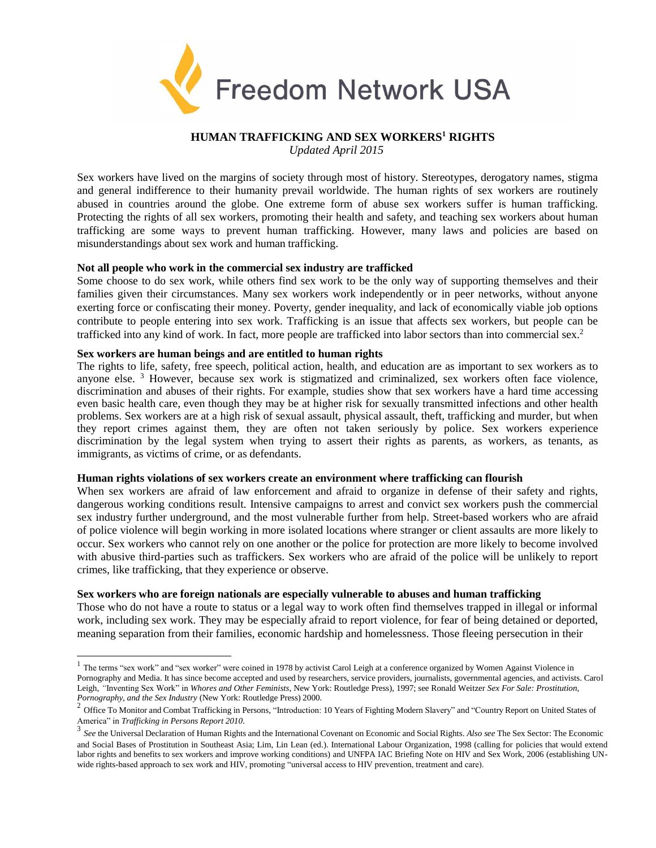

# **HUMAN TRAFFICKING AND SEX WORKERS<sup>1</sup> RIGHTS**

*Updated April 2015*

Sex workers have lived on the margins of society through most of history. Stereotypes, derogatory names, stigma and general indifference to their humanity prevail worldwide. The human rights of sex workers are routinely abused in countries around the globe. One extreme form of abuse sex workers suffer is human trafficking. Protecting the rights of all sex workers, promoting their health and safety, and teaching sex workers about human trafficking are some ways to prevent human trafficking. However, many laws and policies are based on misunderstandings about sex work and human trafficking.

## **Not all people who work in the commercial sex industry are trafficked**

Some choose to do sex work, while others find sex work to be the only way of supporting themselves and their families given their circumstances. Many sex workers work independently or in peer networks, without anyone exerting force or confiscating their money. Poverty, gender inequality, and lack of economically viable job options contribute to people entering into sex work. Trafficking is an issue that affects sex workers, but people can be trafficked into any kind of work. In fact, more people are trafficked into labor sectors than into commercial sex.<sup>2</sup>

# **Sex workers are human beings and are entitled to human rights**

The rights to life, safety, free speech, political action, health, and education are as important to sex workers as to anyone else. <sup>3</sup> However, because sex work is stigmatized and criminalized, sex workers often face violence, discrimination and abuses of their rights. For example, studies show that sex workers have a hard time accessing even basic health care, even though they may be at higher risk for sexually transmitted infections and other health problems. Sex workers are at a high risk of sexual assault, physical assault, theft, trafficking and murder, but when they report crimes against them, they are often not taken seriously by police. Sex workers experience discrimination by the legal system when trying to assert their rights as parents, as workers, as tenants, as immigrants, as victims of crime, or as defendants.

#### **Human rights violations of sex workers create an environment where trafficking can flourish**

When sex workers are afraid of law enforcement and afraid to organize in defense of their safety and rights, dangerous working conditions result. Intensive campaigns to arrest and convict sex workers push the commercial sex industry further underground, and the most vulnerable further from help. Street-based workers who are afraid of police violence will begin working in more isolated locations where stranger or client assaults are more likely to occur. Sex workers who cannot rely on one another or the police for protection are more likely to become involved with abusive third-parties such as traffickers. Sex workers who are afraid of the police will be unlikely to report crimes, like trafficking, that they experience or observe.

# **Sex workers who are foreign nationals are especially vulnerable to abuses and human trafficking**

Those who do not have a route to status or a legal way to work often find themselves trapped in illegal or informal work, including sex work. They may be especially afraid to report violence, for fear of being detained or deported, meaning separation from their families, economic hardship and homelessness. Those fleeing persecution in their

 $<sup>1</sup>$  The terms "sex work" and "sex worker" were coined in 1978 by activist Carol Leigh at a conference organized by Women Against Violence in</sup> Pornography and Media. It has since become accepted and used by researchers, service providers, journalists, governmental agencies, and activists. Carol Leigh, *"*Inventing Sex Work" in *Whores and Other Feminists*, New York: Routledge Press), 1997; see Ronald Weitzer *Sex For Sale: Prostitution, Pornography, and the Sex Industry* (New York: Routledge Press) 2000.

<sup>&</sup>lt;sup>2</sup> Office To Monitor and Combat Trafficking in Persons, "Introduction: 10 Years of Fighting Modern Slavery" and "Country Report on United States of America" in *Trafficking in Persons Report 2010*.

<sup>3</sup> *See* the Universal Declaration of Human Rights and the International Covenant on Economic and Social Rights. *Also see* The Sex Sector: The Economic and Social Bases of Prostitution in Southeast Asia; Lim, Lin Lean (ed.). International Labour Organization, 1998 (calling for policies that would extend labor rights and benefits to sex workers and improve working conditions) and UNFPA IAC Briefing Note on HIV and Sex Work, 2006 (establishing UNwide rights-based approach to sex work and HIV, promoting "universal access to HIV prevention, treatment and care).